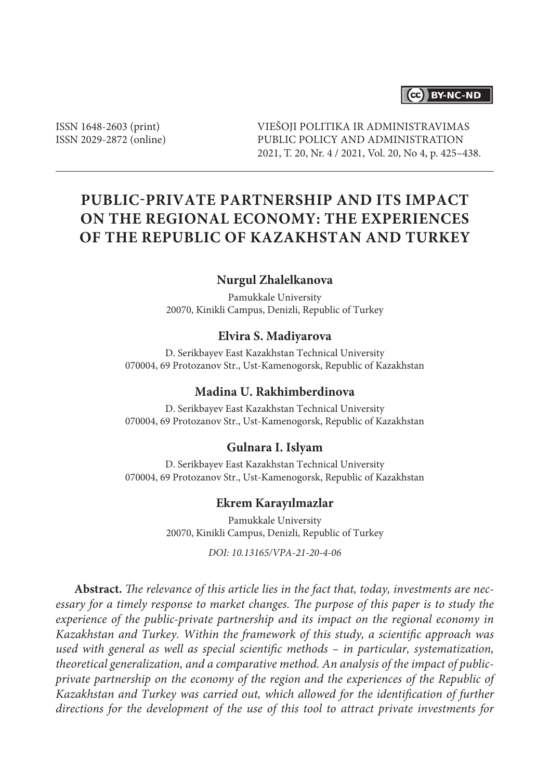# (cc) BY-NC-ND

ISSN 1648-2603 (print) ISSN 2029-2872 (online) VIEŠOJI POLITIKA IR ADMINISTRAVIMAS PUBLIC POLICY AND ADMINISTRATION 2021, T. 20, Nr. 4 / 2021, Vol. 20, No 4, p. 425–438.

# **Public-Private Partnership and Its Impact on the Regional Economy: The Experiences of the Republic of Kazakhstan and Turkey**

## **Nurgul Zhalelkanova**

Pamukkale University 20070, Kinikli Campus, Denizli, Republic of Turkey

#### **Elvira S. Madiyarova**

D. Serikbayev East Kazakhstan Technical University 070004, 69 Protozanov Str., Ust-Kamenogorsk, Republic of Kazakhstan

# **Madina U. Rakhimberdinova**

D. Serikbayev East Kazakhstan Technical University 070004, 69 Protozanov Str., Ust-Kamenogorsk, Republic of Kazakhstan

#### **Gulnara I. Islyam**

D. Serikbayev East Kazakhstan Technical University 070004, 69 Protozanov Str., Ust-Kamenogorsk, Republic of Kazakhstan

#### **Ekrem Karayılmazlar**

Pamukkale University 20070, Kinikli Campus, Denizli, Republic of Turkey

*DOI: 10.13165/VPA-21-20-4-06*

**Abstract.** *The relevance of this article lies in the fact that, today, investments are necessary for a timely response to market changes. The purpose of this paper is to study the experience of the public-private partnership and its impact on the regional economy in Kazakhstan and Turkey. Within the framework of this study, a scientific approach was used with general as well as special scientific methods – in particular, systematization, theoretical generalization, and a comparative method. An analysis of the impact of publicprivate partnership on the economy of the region and the experiences of the Republic of Kazakhstan and Turkey was carried out, which allowed for the identification of further directions for the development of the use of this tool to attract private investments for*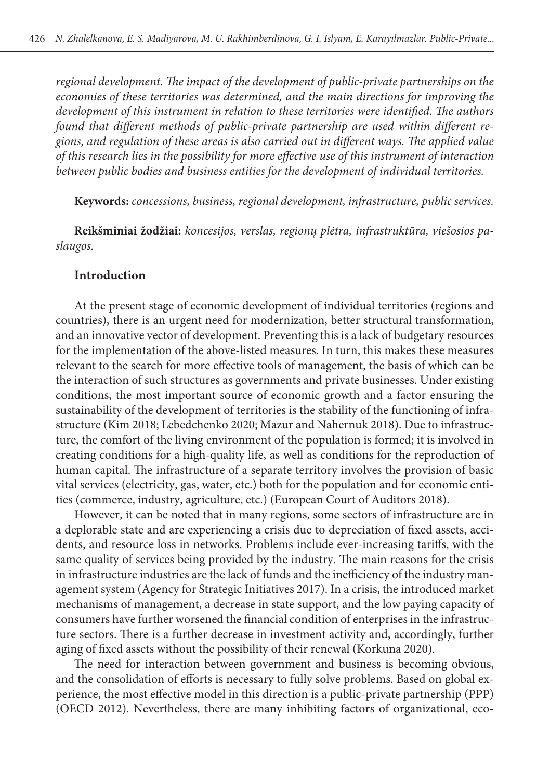*regional development. The impact of the development of public-private partnerships on the economies of these territories was determined, and the main directions for improving the development of this instrument in relation to these territories were identified. The authors found that different methods of public-private partnership are used within different regions, and regulation of these areas is also carried out in different ways. The applied value of this research lies in the possibility for more effective use of this instrument of interaction between public bodies and business entities for the development of individual territories.*

**Keywords:** *concessions, business, regional development, infrastructure, public services.* 

**Reikšminiai žodžiai:** *koncesijos, verslas, regionų plėtra, infrastruktūra, viešosios paslaugos.*

### **Introduction**

At the present stage of economic development of individual territories (regions and countries), there is an urgent need for modernization, better structural transformation, and an innovative vector of development. Preventing this is a lack of budgetary resources for the implementation of the above-listed measures. In turn, this makes these measures relevant to the search for more effective tools of management, the basis of which can be the interaction of such structures as governments and private businesses. Under existing conditions, the most important source of economic growth and a factor ensuring the sustainability of the development of territories is the stability of the functioning of infrastructure (Kim 2018; Lebedchenko 2020; Mazur and Nahernuk 2018). Due to infrastructure, the comfort of the living environment of the population is formed; it is involved in creating conditions for a high-quality life, as well as conditions for the reproduction of human capital. The infrastructure of a separate territory involves the provision of basic vital services (electricity, gas, water, etc.) both for the population and for economic entities (commerce, industry, agriculture, etc.) (European Court of Auditors 2018).

However, it can be noted that in many regions, some sectors of infrastructure are in a deplorable state and are experiencing a crisis due to depreciation of fixed assets, accidents, and resource loss in networks. Problems include ever-increasing tariffs, with the same quality of services being provided by the industry. The main reasons for the crisis in infrastructure industries are the lack of funds and the inefficiency of the industry management system (Agency for Strategic Initiatives 2017). In a crisis, the introduced market mechanisms of management, a decrease in state support, and the low paying capacity of consumers have further worsened the financial condition of enterprises in the infrastructure sectors. There is a further decrease in investment activity and, accordingly, further aging of fixed assets without the possibility of their renewal (Korkuna 2020).

The need for interaction between government and business is becoming obvious, and the consolidation of efforts is necessary to fully solve problems. Based on global experience, the most effective model in this direction is a public-private partnership (PPP) (OECD 2012). Nevertheless, there are many inhibiting factors of organizational, eco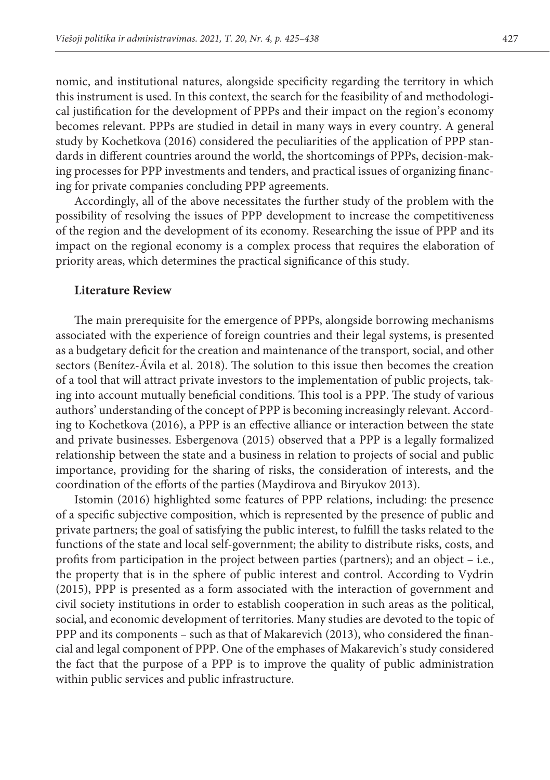nomic, and institutional natures, alongside specificity regarding the territory in which this instrument is used. In this context, the search for the feasibility of and methodological justification for the development of PPPs and their impact on the region's economy becomes relevant. PPPs are studied in detail in many ways in every country. A general study by Kochetkova (2016) considered the peculiarities of the application of PPP standards in different countries around the world, the shortcomings of PPPs, decision-making processes for PPP investments and tenders, and practical issues of organizing financing for private companies concluding PPP agreements.

Accordingly, all of the above necessitates the further study of the problem with the possibility of resolving the issues of PPP development to increase the competitiveness of the region and the development of its economy. Researching the issue of PPP and its impact on the regional economy is a complex process that requires the elaboration of priority areas, which determines the practical significance of this study.

#### **Literature Review**

The main prerequisite for the emergence of PPPs, alongside borrowing mechanisms associated with the experience of foreign countries and their legal systems, is presented as a budgetary deficit for the creation and maintenance of the transport, social, and other sectors (Benítez-Ávila et al. 2018). The solution to this issue then becomes the creation of a tool that will attract private investors to the implementation of public projects, taking into account mutually beneficial conditions. This tool is a PPP. The study of various authors' understanding of the concept of PPP is becoming increasingly relevant. According to Kochetkova (2016), a PPP is an effective alliance or interaction between the state and private businesses. Esbergenova (2015) observed that a PPP is a legally formalized relationship between the state and a business in relation to projects of social and public importance, providing for the sharing of risks, the consideration of interests, and the coordination of the efforts of the parties (Maydirova and Biryukov 2013).

Istomin (2016) highlighted some features of PPP relations, including: the presence of a specific subjective composition, which is represented by the presence of public and private partners; the goal of satisfying the public interest, to fulfill the tasks related to the functions of the state and local self-government; the ability to distribute risks, costs, and profits from participation in the project between parties (partners); and an object – i.e., the property that is in the sphere of public interest and control. According to Vydrin (2015), PPP is presented as a form associated with the interaction of government and civil society institutions in order to establish cooperation in such areas as the political, social, and economic development of territories. Many studies are devoted to the topic of PPP and its components – such as that of Makarevich (2013), who considered the financial and legal component of PPP. One of the emphases of Makarevich's study considered the fact that the purpose of a PPP is to improve the quality of public administration within public services and public infrastructure.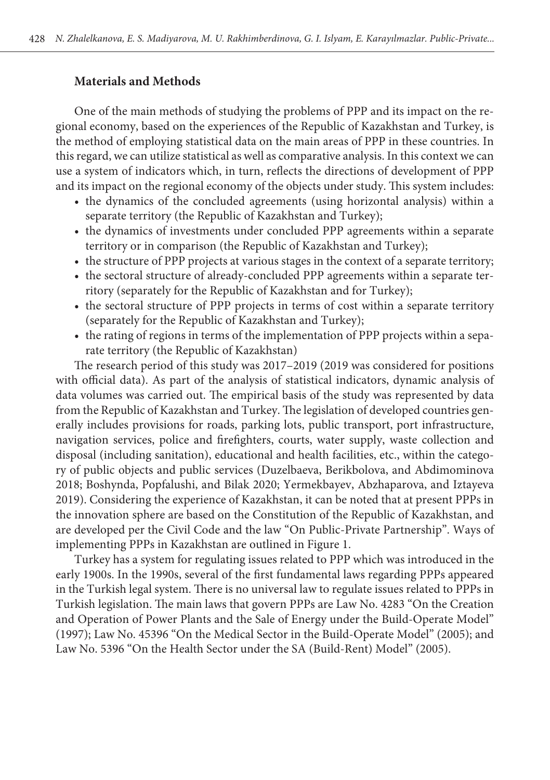#### **Materials and Methods**

One of the main methods of studying the problems of PPP and its impact on the regional economy, based on the experiences of the Republic of Kazakhstan and Turkey, is the method of employing statistical data on the main areas of PPP in these countries. In this regard, we can utilize statistical as well as comparative analysis. In this context we can use a system of indicators which, in turn, reflects the directions of development of PPP and its impact on the regional economy of the objects under study. This system includes:

- the dynamics of the concluded agreements (using horizontal analysis) within a separate territory (the Republic of Kazakhstan and Turkey);
- the dynamics of investments under concluded PPP agreements within a separate territory or in comparison (the Republic of Kazakhstan and Turkey);
- the structure of PPP projects at various stages in the context of a separate territory;
- the sectoral structure of already-concluded PPP agreements within a separate territory (separately for the Republic of Kazakhstan and for Turkey);
- the sectoral structure of PPP projects in terms of cost within a separate territory (separately for the Republic of Kazakhstan and Turkey);
- the rating of regions in terms of the implementation of PPP projects within a separate territory (the Republic of Kazakhstan)

The research period of this study was 2017–2019 (2019 was considered for positions with official data). As part of the analysis of statistical indicators, dynamic analysis of data volumes was carried out. The empirical basis of the study was represented by data from the Republic of Kazakhstan and Turkey. The legislation of developed countries generally includes provisions for roads, parking lots, public transport, port infrastructure, navigation services, police and firefighters, courts, water supply, waste collection and disposal (including sanitation), educational and health facilities, etc., within the category of public objects and public services (Duzelbaeva, Berikbolova, and Abdimominova 2018; Boshynda, Popfalushi, and Bilak 2020; Yermekbayev, Abzhaparova, and Iztayeva 2019). Considering the experience of Kazakhstan, it can be noted that at present PPPs in the innovation sphere are based on the Constitution of the Republic of Kazakhstan, and are developed per the Civil Code and the law "On Public-Private Partnership". Ways of implementing PPPs in Kazakhstan are outlined in Figure 1.

Turkey has a system for regulating issues related to PPP which was introduced in the early 1900s. In the 1990s, several of the first fundamental laws regarding PPPs appeared in the Turkish legal system. There is no universal law to regulate issues related to PPPs in Turkish legislation. The main laws that govern PPPs are Law No. 4283 "On the Creation and Operation of Power Plants and the Sale of Energy under the Build-Operate Model" (1997); Law No. 45396 "On the Medical Sector in the Build-Operate Model" (2005); and Law No. 5396 "On the Health Sector under the SA (Build-Rent) Model" (2005).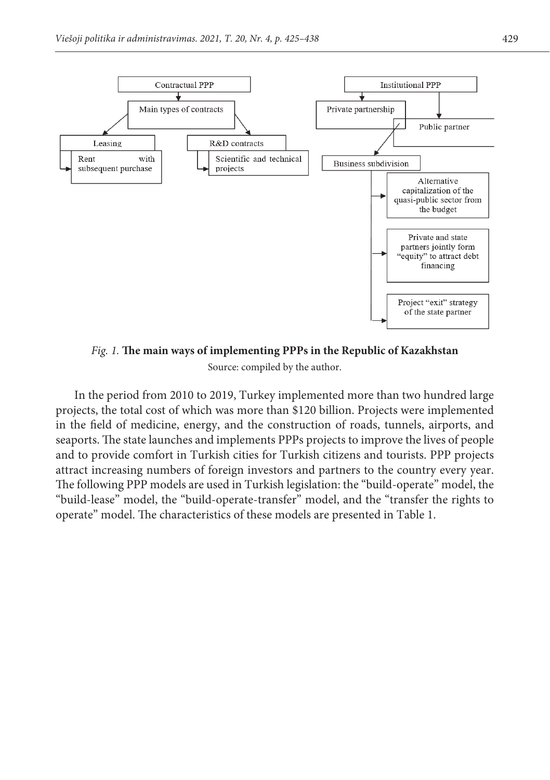

*Fig. 1. The main ways of implementing public-private partnershipsPPPs in the Republic of Kazakhstan Fig. 1.* **The main ways of implementing PPPs in the Republic of Kazakhstan** *Source: compiled by the author.*  Source: compiled by the author.

in the field of medicine, energy, and the construction of roads, tunnels, airports, and projects. The state traineries and implements if it's projects to improve the fives of people<br>and to provide comfort in Turkish cities for Turkish citizens and tourists. PPP projects attract increasing numbers of foreign investors and partners to the country every year.<br>The following PPP models are used in Turkish legislation: the "build-operate" model, the "build-lease" model, the "build-operate-transfer" model, and the "transfer the rights to wild-In the period from 2010 to 2019, Turkey implemented more than two hundred large projects, the total cost of which was more than \$120 billion. Projects were implemented seaports. The state launches and implements PPPs projects to improve the lives of people attract increasing numbers of foreign investors and partners to the country every year. operate" model. The characteristics of these models are presented in Table 1.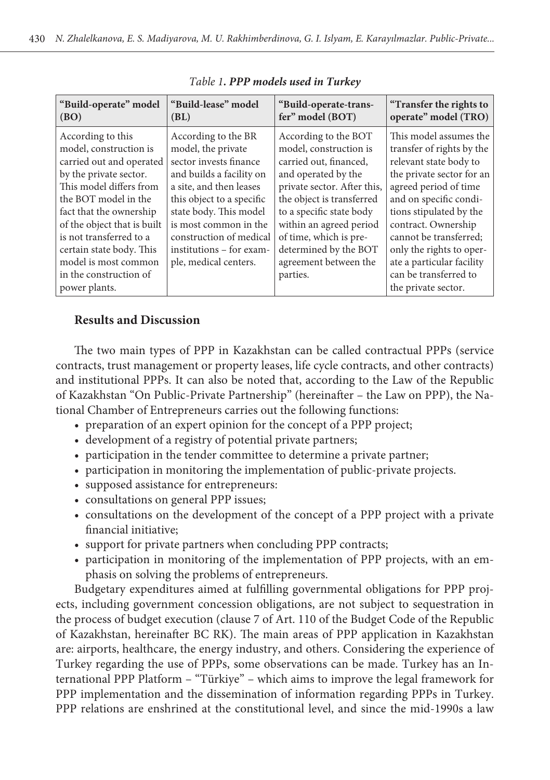| "Build-operate" model                                                                                                                                                                                                                                                                                                                    | "Build-lease" model                                                                                                                                                                                                                                                                        | "Build-operate-trans-                                                                                                                                                                                                                                                                                      | "Transfer the rights to                                                                                                                                                                                                                                                                                                                            |
|------------------------------------------------------------------------------------------------------------------------------------------------------------------------------------------------------------------------------------------------------------------------------------------------------------------------------------------|--------------------------------------------------------------------------------------------------------------------------------------------------------------------------------------------------------------------------------------------------------------------------------------------|------------------------------------------------------------------------------------------------------------------------------------------------------------------------------------------------------------------------------------------------------------------------------------------------------------|----------------------------------------------------------------------------------------------------------------------------------------------------------------------------------------------------------------------------------------------------------------------------------------------------------------------------------------------------|
| (BO)                                                                                                                                                                                                                                                                                                                                     | (BL)                                                                                                                                                                                                                                                                                       | fer" model (BOT)                                                                                                                                                                                                                                                                                           | operate" model (TRO)                                                                                                                                                                                                                                                                                                                               |
| According to this<br>model, construction is<br>carried out and operated<br>by the private sector.<br>This model differs from<br>the BOT model in the<br>fact that the ownership<br>of the object that is built<br>is not transferred to a<br>certain state body. This<br>model is most common<br>in the construction of<br>power plants. | According to the BR<br>model, the private<br>sector invests finance<br>and builds a facility on<br>a site, and then leases<br>this object to a specific<br>state body. This model<br>is most common in the<br>construction of medical<br>institutions – for exam-<br>ple, medical centers. | According to the BOT<br>model, construction is<br>carried out, financed,<br>and operated by the<br>private sector. After this,<br>the object is transferred<br>to a specific state body<br>within an agreed period<br>of time, which is pre-<br>determined by the BOT<br>agreement between the<br>parties. | This model assumes the<br>transfer of rights by the<br>relevant state body to<br>the private sector for an<br>agreed period of time<br>and on specific condi-<br>tions stipulated by the<br>contract. Ownership<br>cannot be transferred;<br>only the rights to oper-<br>ate a particular facility<br>can be transferred to<br>the private sector. |

*Table 1. PPP models used in Turkey*

# **Results and Discussion**

The two main types of PPP in Kazakhstan can be called contractual PPPs (service contracts, trust management or property leases, life cycle contracts, and other contracts) and institutional PPPs. It can also be noted that, according to the Law of the Republic of Kazakhstan "On Public-Private Partnership" (hereinafter – the Law on PPP), the National Chamber of Entrepreneurs carries out the following functions:

- preparation of an expert opinion for the concept of a PPP project;
- development of a registry of potential private partners;
- participation in the tender committee to determine a private partner;
- participation in monitoring the implementation of public-private projects.
- supposed assistance for entrepreneurs:
- consultations on general PPP issues;
- consultations on the development of the concept of a PPP project with a private financial initiative;
- support for private partners when concluding PPP contracts;
- participation in monitoring of the implementation of PPP projects, with an emphasis on solving the problems of entrepreneurs.

Budgetary expenditures aimed at fulfilling governmental obligations for PPP projects, including government concession obligations, are not subject to sequestration in the process of budget execution (clause 7 of Art. 110 of the Budget Code of the Republic of Kazakhstan, hereinafter BC RK). The main areas of PPP application in Kazakhstan are: airports, healthcare, the energy industry, and others. Considering the experience of Turkey regarding the use of PPPs, some observations can be made. Turkey has an International PPP Platform – "Türkiye" – which aims to improve the legal framework for PPP implementation and the dissemination of information regarding PPPs in Turkey. PPP relations are enshrined at the constitutional level, and since the mid-1990s a law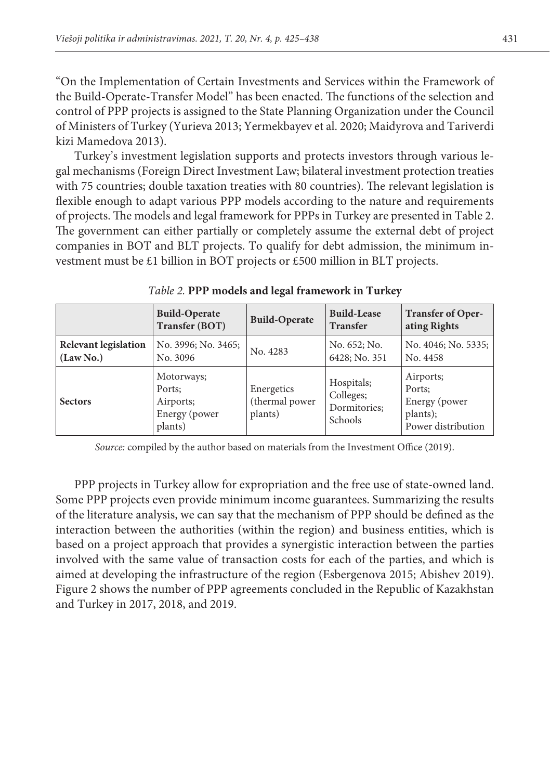"On the Implementation of Certain Investments and Services within the Framework of the Build-Operate-Transfer Model" has been enacted. The functions of the selection and control of PPP projects is assigned to the State Planning Organization under the Council of Ministers of Turkey (Yurieva 2013; Yermekbayev et al. 2020; Maidyrova and Tariverdi kizi Mamedova 2013).

Turkey's investment legislation supports and protects investors through various legal mechanisms (Foreign Direct Investment Law; bilateral investment protection treaties with 75 countries; double taxation treaties with 80 countries). The relevant legislation is flexible enough to adapt various PPP models according to the nature and requirements of projects. The models and legal framework for PPPs in Turkey are presented in Table 2. The government can either partially or completely assume the external debt of project companies in BOT and BLT projects. To qualify for debt admission, the minimum investment must be £1 billion in BOT projects or £500 million in BLT projects.

|                                          | <b>Build-Operate</b><br>Transfer (BOT)                        | <b>Build-Operate</b>                    | <b>Build-Lease</b><br><b>Transfer</b>              | <b>Transfer of Oper-</b><br>ating Rights                               |
|------------------------------------------|---------------------------------------------------------------|-----------------------------------------|----------------------------------------------------|------------------------------------------------------------------------|
| <b>Relevant legislation</b><br>(Law No.) | No. 3996; No. 3465;<br>No. 3096                               | No. 4283                                | No. 652; No.<br>6428; No. 351                      | No. 4046; No. 5335;<br>No. 4458                                        |
| <b>Sectors</b>                           | Motorways;<br>Ports:<br>Airports;<br>Energy (power<br>plants) | Energetics<br>(thermal power<br>plants) | Hospitals;<br>Colleges;<br>Dormitories;<br>Schools | Airports;<br>Ports:<br>Energy (power<br>plants);<br>Power distribution |

*Table 2.* **PPP models and legal framework in Turkey**

*Source:* compiled by the author based on materials from the Investment Office (2019).

PPP projects in Turkey allow for expropriation and the free use of state-owned land. Some PPP projects even provide minimum income guarantees. Summarizing the results of the literature analysis, we can say that the mechanism of PPP should be defined as the interaction between the authorities (within the region) and business entities, which is based on a project approach that provides a synergistic interaction between the parties involved with the same value of transaction costs for each of the parties, and which is aimed at developing the infrastructure of the region (Esbergenova 2015; Abishev 2019). Figure 2 shows the number of PPP agreements concluded in the Republic of Kazakhstan and Turkey in 2017, 2018, and 2019.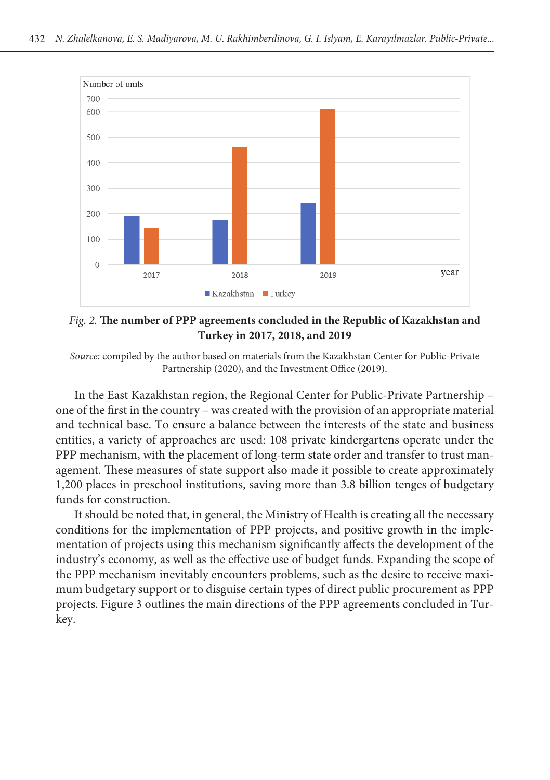

*Fig. 2. The number of PPP agreements concluded in the Republic of Kazakhstan and Turkey in 2017, 2018, and*  **Turkey in 2017, 2018, and 2019** *Fig. 2.* **The number of PPP agreements concluded in the Republic of Kazakhstan and** 

Source: compiled by the author based on materials from the Kazakhstan Center for Public-Private *Source: compiled by the author based on the materials of from the Kazakhstan centreCenter for Public-Private*  Partnership (2020), and the Investment Office (2019).

one of the first in the country – was created with the provision of an appropriate material and technical base. To ensure a balance between the interests of the state and business agement. These measures of state support also made it possible to create approximately<br>1.200 also measures of state support also made it possible to create approximately In the East Kazakhstan region, the Regional Center for Public-Private Partnership – entities, a variety of approaches are used: 108 private kindergartens operate under the PPP mechanism, with the placement of long-term state order and transfer to trust man-1,200 places in preschool institutions, saving more than 3.8 billion tenges of budgetary funds for construction.

funds for construction.<br>It should be noted that, in general, the Ministry of Health is creating all the necessary conditions for the implementation of PPP projects, and positive growth in the impleindustry's economy, as well as the effective use of budget funds. Expanding the scope of mum budgetary support or to disguise certain types of direct public procurement as PPP measures of state support also made it possible to additional lynx create about approximately 1,.200 made it possible to additional lynx create about approximately 1,.200 made it possible to additionally 1,.200 made it pos mentation of projects using this mechanism significantly affects the development of the the PPP mechanism inevitably encounters problems, such as the desire to receive maxiprojects. Figure 3 outlines the main directions of the PPP agreements concluded in Turkey.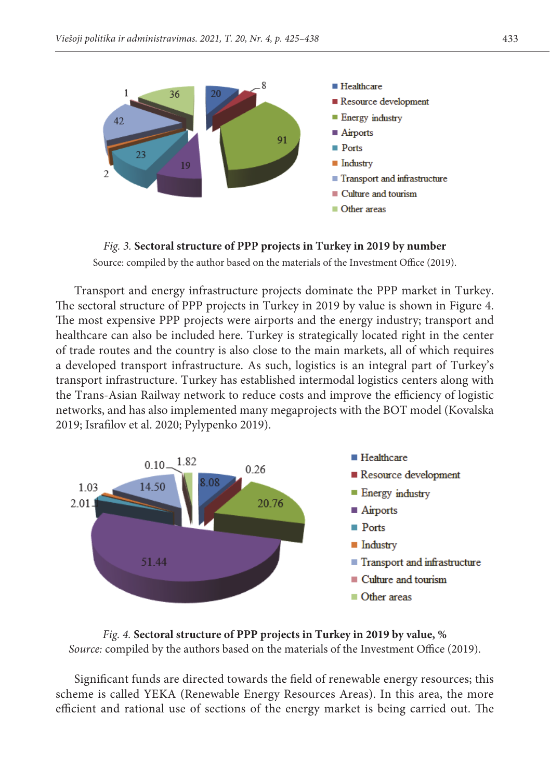

Fig. 3. Sectoral structure of PPP projects in Turkey in 2019 by number

*Source: compiled by the author based on the materials of the Investment Office (2019)*. Source: compiled by the author based on the materials of the Investment Office (2019).

*public private partnership in Turkey (2019).* Transport and energy infrastructure projects dominate the PPP market in Turkey. The most expensive PPP projects were airports and the energy industry; transport and of trade routes and the country is also close to the main markets, all of which requires transport infrastructure. Turkey has established intermodal logistics centers along with networks, and has also implemented many megaprojects with the BOT model (Kovalska The sectoral structure of PPP projects in Turkey in 2019 by value is shown in Figure 4. healthcare can also be included here. Turkey is strategically located right in the center a developed transport infrastructure. As such, logistics is an integral part of Turkey's the Trans-Asian Railway network to reduce costs and improve the efficiency of logistic 2019; Israfilov et al. 2020; Pylypenko 2019). country is also close to the main markets, all this of which requires a developed transport



### Fig. 4. *Sectoral structure of PPP projects in Turkey for in 2019 by value, % Fig. 4.* **Sectoral structure of PPP projects in Turkey in 2019 by value, %** bource: compiled by the authors based on the materials of the investment Office (2019). *Source:* compiled by the authors based on the materials of the Investment Office (2019).

*public private partnership in Turkey (2019).*  Significant funds are directed towards the field of renewable energy resources; this scheme is called YEKA (Renewable Energy Resources Areas). In this area, the more efficient and rational use of sections of the energy market is being carried out. The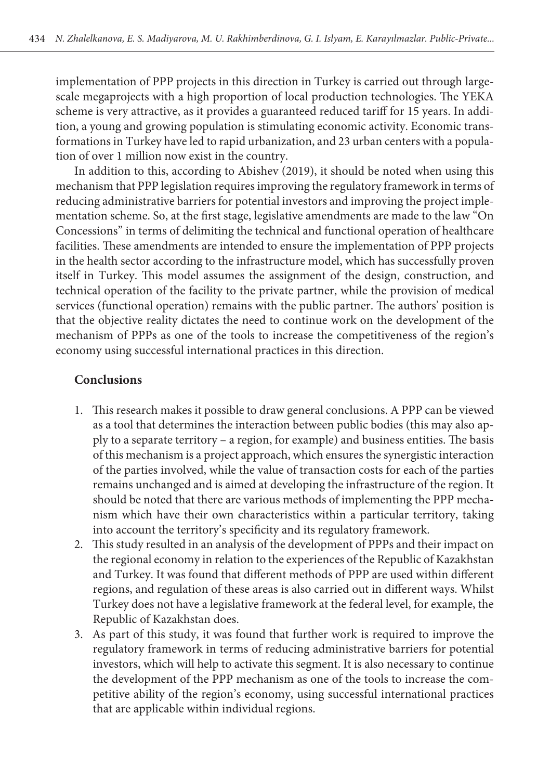implementation of PPP projects in this direction in Turkey is carried out through largescale megaprojects with a high proportion of local production technologies. The YEKA scheme is very attractive, as it provides a guaranteed reduced tariff for 15 years. In addition, a young and growing population is stimulating economic activity. Economic transformations in Turkey have led to rapid urbanization, and 23 urban centers with a population of over 1 million now exist in the country.

In addition to this, according to Abishev (2019), it should be noted when using this mechanism that PPP legislation requires improving the regulatory framework in terms of reducing administrative barriers for potential investors and improving the project implementation scheme. So, at the first stage, legislative amendments are made to the law "On Concessions" in terms of delimiting the technical and functional operation of healthcare facilities. These amendments are intended to ensure the implementation of PPP projects in the health sector according to the infrastructure model, which has successfully proven itself in Turkey. This model assumes the assignment of the design, construction, and technical operation of the facility to the private partner, while the provision of medical services (functional operation) remains with the public partner. The authors' position is that the objective reality dictates the need to continue work on the development of the mechanism of PPPs as one of the tools to increase the competitiveness of the region's economy using successful international practices in this direction.

# **Conclusions**

- 1. This research makes it possible to draw general conclusions. A PPP can be viewed as a tool that determines the interaction between public bodies (this may also apply to a separate territory – a region, for example) and business entities. The basis of this mechanism is a project approach, which ensures the synergistic interaction of the parties involved, while the value of transaction costs for each of the parties remains unchanged and is aimed at developing the infrastructure of the region. It should be noted that there are various methods of implementing the PPP mechanism which have their own characteristics within a particular territory, taking into account the territory's specificity and its regulatory framework.
- 2. This study resulted in an analysis of the development of PPPs and their impact on the regional economy in relation to the experiences of the Republic of Kazakhstan and Turkey. It was found that different methods of PPP are used within different regions, and regulation of these areas is also carried out in different ways. Whilst Turkey does not have a legislative framework at the federal level, for example, the Republic of Kazakhstan does.
- 3. As part of this study, it was found that further work is required to improve the regulatory framework in terms of reducing administrative barriers for potential investors, which will help to activate this segment. It is also necessary to continue the development of the PPP mechanism as one of the tools to increase the competitive ability of the region's economy, using successful international practices that are applicable within individual regions.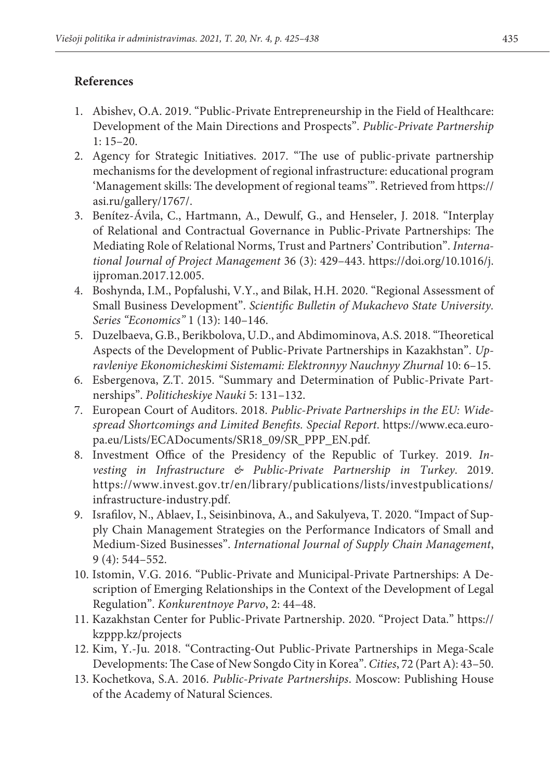# **References**

- 1. Abishev, O.A. 2019. "Public-Private Entrepreneurship in the Field of Healthcare: Development of the Main Directions and Prospects". *Public-Private Partnership*  1: 15–20.
- 2. Agency for Strategic Initiatives. 2017. "The use of public-private partnership mechanisms for the development of regional infrastructure: educational program 'Management skills: The development of regional teams'". Retrieved from https:// asi.ru/gallery/1767/.
- 3. Benítez-Ávila, C., Hartmann, A., Dewulf, G., and Henseler, J. 2018. "Interplay of Relational and Contractual Governance in Public-Private Partnerships: The Mediating Role of Relational Norms, Trust and Partners' Contribution". *International Journal of Project Management* 36 (3): 429–443. https://doi.org/10.1016/j. ijproman.2017.12.005.
- 4. Boshynda, I.M., Popfalushi, V.Y., and Bilak, H.H. 2020. "Regional Assessment of Small Business Development". *Scientific Bulletin of Mukachevo State University. Series "Economics"* 1 (13): 140–146.
- 5. Duzelbaeva, G.B., Berikbolova, U.D., and Abdimominova, A.S. 2018. "Theoretical Aspects of the Development of Public-Private Partnerships in Kazakhstan". *Upravleniye Ekonomicheskimi Sistemami: Elektronnyy Nauchnyy Zhurnal* 10: 6–15.
- 6. Esbergenova, Z.T. 2015. "Summary and Determination of Public-Private Partnerships". *Politicheskiye Nauki* 5: 131–132.
- 7. European Court of Auditors. 2018. *Public-Private Partnerships in the EU: Widespread Shortcomings and Limited Benefits. Special Report*. https://www.eca.europa.eu/Lists/ECADocuments/SR18\_09/SR\_PPP\_EN.pdf.
- 8. Investment Office of the Presidency of the Republic of Turkey. 2019. *Investing in Infrastructure & Public-Private Partnership in Turkey*. 2019. https://www.invest.gov.tr/en/library/publications/lists/investpublications/ infrastructure-industry.pdf.
- 9. Israfilov, N., Ablaev, I., Seisinbinova, A., and Sakulyeva, T. 2020. "Impact of Supply Chain Management Strategies on the Performance Indicators of Small and Medium-Sized Businesses". *International Journal of Supply Chain Management*, 9 (4): 544–552.
- 10. Istomin, V.G. 2016. "Public-Private and Municipal-Private Partnerships: A Description of Emerging Relationships in the Context of the Development of Legal Regulation". *Konkurentnoye Parvo*, 2: 44–48.
- 11. Kazakhstan Center for Public-Private Partnership. 2020. "Project Data." https:// kzppp.kz/projects
- 12. Kim, Y.-Ju. 2018. "Contracting-Out Public-Private Partnerships in Mega-Scale Developments: The Case of New Songdo City in Korea". *Cities*, 72 (Part A): 43–50.
- 13. Kochetkova, S.A. 2016. *Public-Private Partnerships*. Moscow: Publishing House of the Academy of Natural Sciences.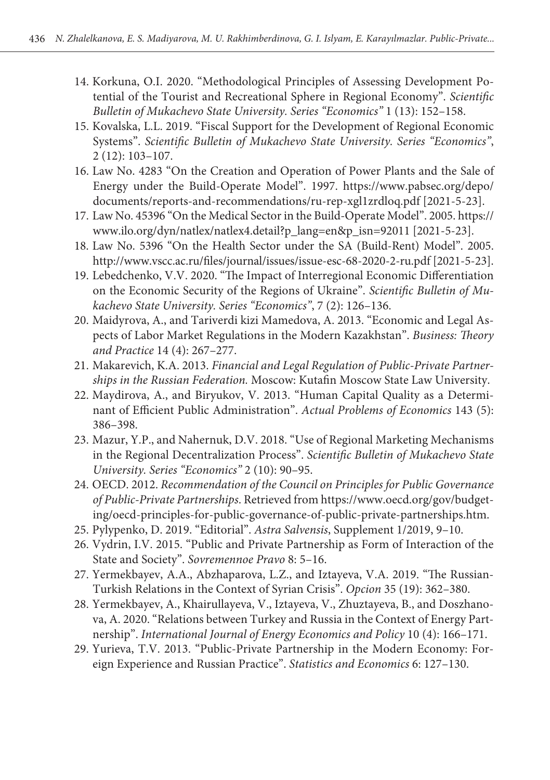- 14. Korkuna, O.I. 2020. "Methodological Principles of Assessing Development Potential of the Tourist and Recreational Sphere in Regional Economy". *Scientific Bulletin of Mukachevo State University. Series "Economics"* 1 (13): 152–158.
- 15. Kovalska, L.L. 2019. "Fiscal Support for the Development of Regional Economic Systems". *Scientific Bulletin of Mukachevo State University. Series "Economics"*, 2 (12): 103–107.
- 16. Law No. 4283 "On the Creation and Operation of Power Plants and the Sale of Energy under the Build-Operate Model". 1997. [https://www.pabsec.org/depo/](https://www.pabsec.org/depo/documents/reports-and-recommendations/ru-rep-xgl1zrdloq.pdf) [documents/reports-and-recommendations/ru-rep-xgl1zrdloq.pdf](https://www.pabsec.org/depo/documents/reports-and-recommendations/ru-rep-xgl1zrdloq.pdf) [2021-5-23].
- 17. Law No. 45396 "On the Medical Sector in the Build-Operate Model". 2005. [https://](https://www.ilo.org/dyn/natlex/natlex4.detail?p_lang=en&p_isn=92011) [www.ilo.org/dyn/natlex/natlex4.detail?p\\_lang=en&p\\_isn=92011](https://www.ilo.org/dyn/natlex/natlex4.detail?p_lang=en&p_isn=92011) [2021-5-23].
- 18. Law No. 5396 "On the Health Sector under the SA (Build-Rent) Model". 2005. <http://www.vscc.ac.ru/files/journal/issues/issue-esc-68-2020-2-ru.pdf>[2021-5-23].
- 19. Lebedchenko, V.V. 2020. "The Impact of Interregional Economic Differentiation on the Economic Security of the Regions of Ukraine". *Scientific Bulletin of Mukachevo State University. Series "Economics"*, 7 (2): 126–136.
- 20. Maidyrova, A., and Tariverdi kizi Mamedova, A. 2013. "Economic and Legal Aspects of Labor Market Regulations in the Modern Kazakhstan". *Business: Theory and Practice* 14 (4): 267–277.
- 21. Makarevich, K.A. 2013. *Financial and Legal Regulation of Public-Private Partnerships in the Russian Federation.* Moscow: Kutafin Moscow State Law University.
- 22. Maydirova, A., and Biryukov, V. 2013. "Human Capital Quality as a Determinant of Efficient Public Administration". *Actual Problems of Economics* 143 (5): 386–398.
- 23. Mazur, Y.P., and Nahernuk, D.V. 2018. "Use of Regional Marketing Mechanisms in the Regional Decentralization Process". *Scientific Bulletin of Mukachevo State University. Series "Economics"* 2 (10): 90–95.
- 24. OECD. 2012. *Recommendation of the Council on Principles for Public Governance of Public-Private Partnerships*. Retrieved from https://www.oecd.org/gov/budgeting/oecd-principles-for-public-governance-of-public-private-partnerships.htm.
- 25. Pylypenko, D. 2019. "Editorial". *Astra Salvensis*, Supplement 1/2019, 9–10.
- 26. Vydrin, I.V. 2015. "Public and Private Partnership as Form of Interaction of the State and Society". *Sovremennoe Pravo* 8: 5–16.
- 27. Yermekbayev, A.A., Abzhaparova, L.Z., and Iztayeva, V.A. 2019. "The Russian-Turkish Relations in the Context of Syrian Crisis". *Opcion* 35 (19): 362–380.
- 28. Yermekbayev, A., Khairullayeva, V., Iztayeva, V., Zhuztayeva, B., and Doszhanova, A. 2020. "Relations between Turkey and Russia in the Context of Energy Partnership". *International Journal of Energy Economics and Policy* 10 (4): 166–171.
- 29. Yurieva, T.V. 2013. "Public-Private Partnership in the Modern Economy: Foreign Experience and Russian Practice". *Statistics and Economics* 6: 127–130.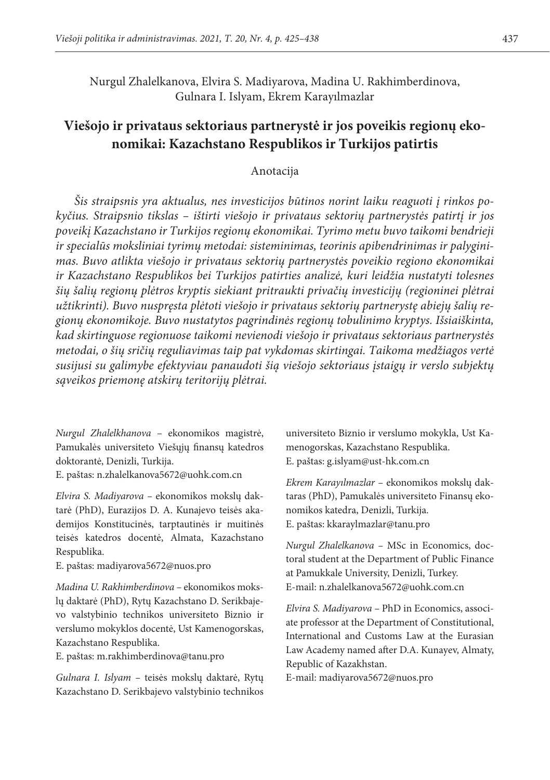Nurgul Zhalelkanova, Elvira S. Madiyarova, Madina U. Rakhimberdinova, Gulnara I. Islyam, Ekrem Karayılmazlar

# **Viešojo ir privataus sektoriaus partnerystė ir jos poveikis regionų ekonomikai: Kazachstano Respublikos ir Turkijos patirtis**

#### Anotacija

*Šis straipsnis yra aktualus, nes investicijos būtinos norint laiku reaguoti į rinkos pokyčius. Straipsnio tikslas – ištirti viešojo ir privataus sektorių partnerystės patirtį ir jos poveikį Kazachstano ir Turkijos regionų ekonomikai. Tyrimo metu buvo taikomi bendrieji ir specialūs moksliniai tyrimų metodai: sisteminimas, teorinis apibendrinimas ir palyginimas. Buvo atlikta viešojo ir privataus sektorių partnerystės poveikio regiono ekonomikai ir Kazachstano Respublikos bei Turkijos patirties analizė, kuri leidžia nustatyti tolesnes šių šalių regionų plėtros kryptis siekiant pritraukti privačių investicijų (regioninei plėtrai užtikrinti). Buvo nuspręsta plėtoti viešojo ir privataus sektorių partnerystę abiejų šalių regionų ekonomikoje. Buvo nustatytos pagrindinės regionų tobulinimo kryptys. Išsiaiškinta, kad skirtinguose regionuose taikomi nevienodi viešojo ir privataus sektoriaus partnerystės metodai, o šių sričių reguliavimas taip pat vykdomas skirtingai. Taikoma medžiagos vertė susijusi su galimybe efektyviau panaudoti šią viešojo sektoriaus įstaigų ir verslo subjektų sąveikos priemonę atskirų teritorijų plėtrai.*

*Nurgul Zhalelkhanova –* ekonomikos magistrė, Pamukalės universiteto Viešųjų finansų katedros doktorantė, Denizli, Turkija.

E. paštas: [n.zhalelkanova5672@uohk.com.cn](mailto:n.zhalelkanova5672@uohk.com.cn) 

*Elvira S. Madiyarova –* ekonomikos mokslų daktarė (PhD), Eurazijos D. A. Kunajevo teisės akademijos Konstitucinės, tarptautinės ir muitinės teisės katedros docentė, Almata, Kazachstano Respublika.

#### E. paštas: [madiyarova5672@nuos.pro](mailto:madiyarova5672@nuos.pro)

*Madina U. Rakhimberdinova –* ekonomikos mokslų daktarė (PhD), Rytų Kazachstano D. Serikbajevo valstybinio technikos universiteto Biznio ir verslumo mokyklos docentė, Ust Kamenogorskas, Kazachstano Respublika.

E. paštas: [m.rakhimberdinova@tanu.pro](mailto:m.rakhimberdinova@tanu.pro)

*Gulnara I. Islyam –* teisės mokslų daktarė, Rytų Kazachstano D. Serikbajevo valstybinio technikos

universiteto Biznio ir verslumo mokykla, Ust Kamenogorskas, Kazachstano Respublika. E. paštas: [g.islyam@ust-hk.com.cn](mailto:g.islyam@ust-hk.com.cn)

*Ekrem Karayılmazlar –* ekonomikos mokslų daktaras (PhD), Pamukalės universiteto Finansų ekonomikos katedra, Denizli, Turkija. E. paštas: [kkaraylmazlar@tanu.pro](mailto:kkaraylmazlar@tanu.pro)

*Nurgul Zhalelkanova –* MSc in Economics, doctoral student at the Department of Public Finance at Pamukkale University, Denizli, Turkey. E-mail: n.zhalelkanova5672@uohk.com.cn

*Elvira S. Madiyarova –* PhD in Economics, associate professor at the Department of Constitutional, International and Customs Law at the Eurasian Law Academy named after D.A. Kunayev, Almaty, Republic of Kazakhstan.

E-mail: madiyarova5672@nuos.pro